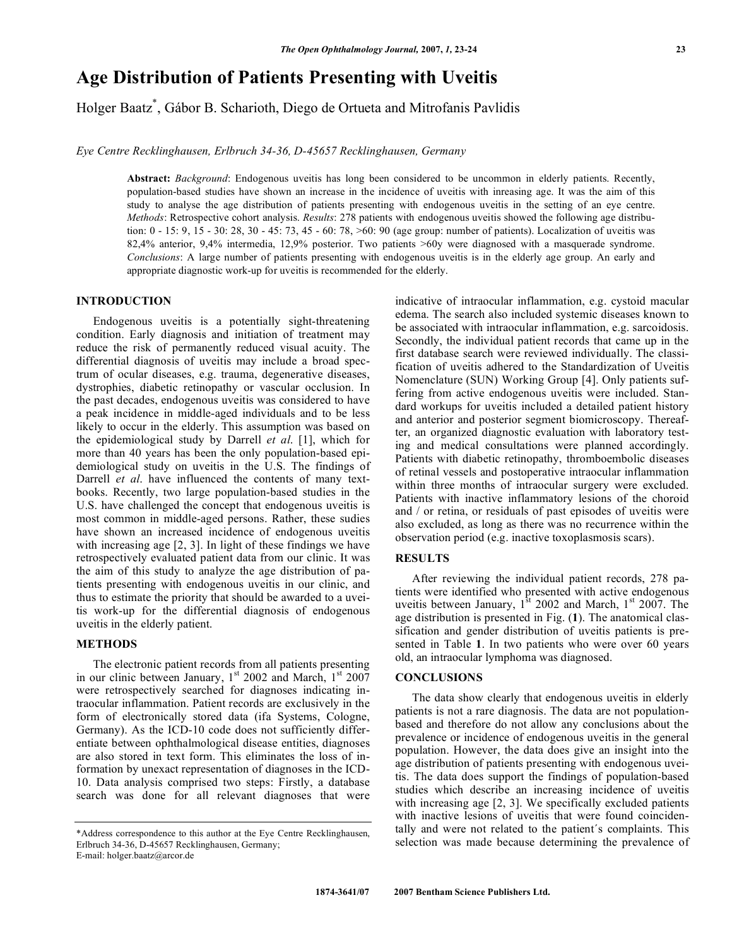# **Age Distribution of Patients Presenting with Uveitis**

Holger Baatz\* , Gábor B. Scharioth, Diego de Ortueta and Mitrofanis Pavlidis

*Eye Centre Recklinghausen, Erlbruch 34-36, D-45657 Recklinghausen, Germany* 

**Abstract:** *Background*: Endogenous uveitis has long been considered to be uncommon in elderly patients. Recently, population-based studies have shown an increase in the incidence of uveitis with inreasing age. It was the aim of this study to analyse the age distribution of patients presenting with endogenous uveitis in the setting of an eye centre. *Methods*: Retrospective cohort analysis. *Results*: 278 patients with endogenous uveitis showed the following age distribution: 0 - 15: 9, 15 - 30: 28, 30 - 45: 73, 45 - 60: 78, >60: 90 (age group: number of patients). Localization of uveitis was 82,4% anterior, 9,4% intermedia, 12,9% posterior. Two patients >60y were diagnosed with a masquerade syndrome. *Conclusions*: A large number of patients presenting with endogenous uveitis is in the elderly age group. An early and appropriate diagnostic work-up for uveitis is recommended for the elderly.

## **INTRODUCTION**

 Endogenous uveitis is a potentially sight-threatening condition. Early diagnosis and initiation of treatment may reduce the risk of permanently reduced visual acuity. The differential diagnosis of uveitis may include a broad spectrum of ocular diseases, e.g. trauma, degenerative diseases, dystrophies, diabetic retinopathy or vascular occlusion. In the past decades, endogenous uveitis was considered to have a peak incidence in middle-aged individuals and to be less likely to occur in the elderly. This assumption was based on the epidemiological study by Darrell *et al*. [1], which for more than 40 years has been the only population-based epidemiological study on uveitis in the U.S. The findings of Darrell *et al*. have influenced the contents of many textbooks. Recently, two large population-based studies in the U.S. have challenged the concept that endogenous uveitis is most common in middle-aged persons. Rather, these sudies have shown an increased incidence of endogenous uveitis with increasing age [2, 3]. In light of these findings we have retrospectively evaluated patient data from our clinic. It was the aim of this study to analyze the age distribution of patients presenting with endogenous uveitis in our clinic, and thus to estimate the priority that should be awarded to a uveitis work-up for the differential diagnosis of endogenous uveitis in the elderly patient.

#### **METHODS**

 The electronic patient records from all patients presenting in our clinic between January, 1<sup>st</sup> 2002 and March, 1<sup>st</sup> 2007 were retrospectively searched for diagnoses indicating intraocular inflammation. Patient records are exclusively in the form of electronically stored data (ifa Systems, Cologne, Germany). As the ICD-10 code does not sufficiently differentiate between ophthalmological disease entities, diagnoses are also stored in text form. This eliminates the loss of information by unexact representation of diagnoses in the ICD-10. Data analysis comprised two steps: Firstly, a database search was done for all relevant diagnoses that were

indicative of intraocular inflammation, e.g. cystoid macular edema. The search also included systemic diseases known to be associated with intraocular inflammation, e.g. sarcoidosis. Secondly, the individual patient records that came up in the first database search were reviewed individually. The classification of uveitis adhered to the Standardization of Uveitis Nomenclature (SUN) Working Group [4]. Only patients suffering from active endogenous uveitis were included. Standard workups for uveitis included a detailed patient history and anterior and posterior segment biomicroscopy. Thereafter, an organized diagnostic evaluation with laboratory testing and medical consultations were planned accordingly. Patients with diabetic retinopathy, thromboembolic diseases of retinal vessels and postoperative intraocular inflammation within three months of intraocular surgery were excluded. Patients with inactive inflammatory lesions of the choroid and / or retina, or residuals of past episodes of uveitis were also excluded, as long as there was no recurrence within the observation period (e.g. inactive toxoplasmosis scars).

#### **RESULTS**

 After reviewing the individual patient records, 278 patients were identified who presented with active endogenous uveitis between January,  $1^{3t}$  2002 and March,  $1^{st}$  2007. The age distribution is presented in Fig. (**1**). The anatomical classification and gender distribution of uveitis patients is presented in Table **1**. In two patients who were over 60 years old, an intraocular lymphoma was diagnosed.

#### **CONCLUSIONS**

 The data show clearly that endogenous uveitis in elderly patients is not a rare diagnosis. The data are not populationbased and therefore do not allow any conclusions about the prevalence or incidence of endogenous uveitis in the general population. However, the data does give an insight into the age distribution of patients presenting with endogenous uveitis. The data does support the findings of population-based studies which describe an increasing incidence of uveitis with increasing age [2, 3]. We specifically excluded patients with inactive lesions of uveitis that were found coincidentally and were not related to the patient´s complaints. This selection was made because determining the prevalence of

<sup>\*</sup>Address correspondence to this author at the Eye Centre Recklinghausen, Erlbruch 34-36, D-45657 Recklinghausen, Germany; E-mail: holger.baatz@arcor.de